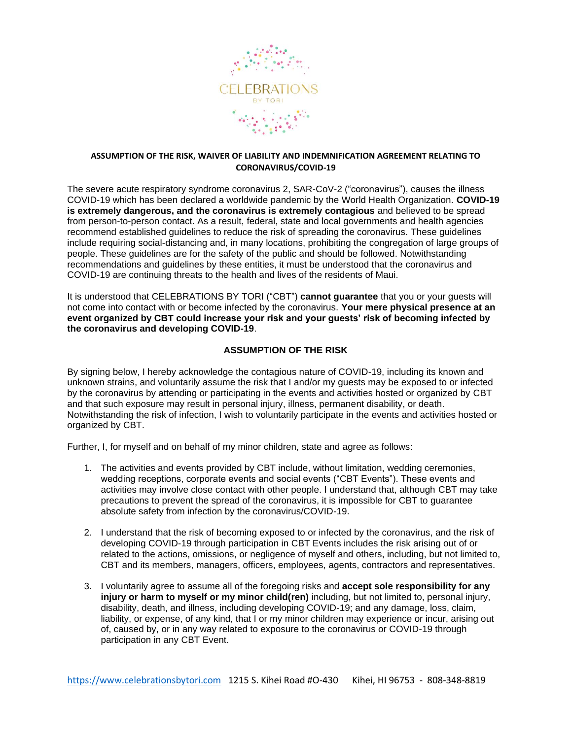

## **ASSUMPTION OF THE RISK, WAIVER OF LIABILITY AND INDEMNIFICATION AGREEMENT RELATING TO CORONAVIRUS/COVID-19**

The severe acute respiratory syndrome coronavirus 2, SAR-CoV-2 ("coronavirus"), causes the illness COVID-19 which has been declared a worldwide pandemic by the World Health Organization. **COVID-19 is extremely dangerous, and the coronavirus is extremely contagious** and believed to be spread from person-to-person contact. As a result, federal, state and local governments and health agencies recommend established guidelines to reduce the risk of spreading the coronavirus. These guidelines include requiring social-distancing and, in many locations, prohibiting the congregation of large groups of people. These guidelines are for the safety of the public and should be followed. Notwithstanding recommendations and guidelines by these entities, it must be understood that the coronavirus and COVID-19 are continuing threats to the health and lives of the residents of Maui.

It is understood that CELEBRATIONS BY TORI ("CBT") **cannot guarantee** that you or your guests will not come into contact with or become infected by the coronavirus. **Your mere physical presence at an event organized by CBT could increase your risk and your guests' risk of becoming infected by the coronavirus and developing COVID-19**.

## **ASSUMPTION OF THE RISK**

By signing below, I hereby acknowledge the contagious nature of COVID-19, including its known and unknown strains, and voluntarily assume the risk that I and/or my guests may be exposed to or infected by the coronavirus by attending or participating in the events and activities hosted or organized by CBT and that such exposure may result in personal injury, illness, permanent disability, or death. Notwithstanding the risk of infection, I wish to voluntarily participate in the events and activities hosted or organized by CBT.

Further, I, for myself and on behalf of my minor children, state and agree as follows:

- 1. The activities and events provided by CBT include, without limitation, wedding ceremonies, wedding receptions, corporate events and social events ("CBT Events"). These events and activities may involve close contact with other people. I understand that, although CBT may take precautions to prevent the spread of the coronavirus, it is impossible for CBT to guarantee absolute safety from infection by the coronavirus/COVID-19.
- 2. I understand that the risk of becoming exposed to or infected by the coronavirus, and the risk of developing COVID-19 through participation in CBT Events includes the risk arising out of or related to the actions, omissions, or negligence of myself and others, including, but not limited to, CBT and its members, managers, officers, employees, agents, contractors and representatives.
- 3. I voluntarily agree to assume all of the foregoing risks and **accept sole responsibility for any injury or harm to myself or my minor child(ren)** including, but not limited to, personal injury, disability, death, and illness, including developing COVID-19; and any damage, loss, claim, liability, or expense, of any kind, that I or my minor children may experience or incur, arising out of, caused by, or in any way related to exposure to the coronavirus or COVID-19 through participation in any CBT Event.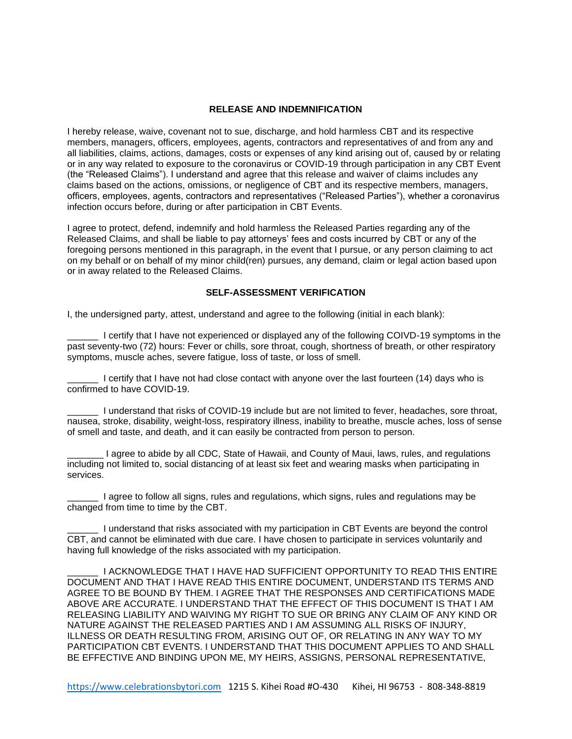## **RELEASE AND INDEMNIFICATION**

I hereby release, waive, covenant not to sue, discharge, and hold harmless CBT and its respective members, managers, officers, employees, agents, contractors and representatives of and from any and all liabilities, claims, actions, damages, costs or expenses of any kind arising out of, caused by or relating or in any way related to exposure to the coronavirus or COVID-19 through participation in any CBT Event (the "Released Claims"). I understand and agree that this release and waiver of claims includes any claims based on the actions, omissions, or negligence of CBT and its respective members, managers, officers, employees, agents, contractors and representatives ("Released Parties"), whether a coronavirus infection occurs before, during or after participation in CBT Events.

I agree to protect, defend, indemnify and hold harmless the Released Parties regarding any of the Released Claims, and shall be liable to pay attorneys' fees and costs incurred by CBT or any of the foregoing persons mentioned in this paragraph, in the event that I pursue, or any person claiming to act on my behalf or on behalf of my minor child(ren) pursues, any demand, claim or legal action based upon or in away related to the Released Claims.

## **SELF-ASSESSMENT VERIFICATION**

I, the undersigned party, attest, understand and agree to the following (initial in each blank):

\_\_\_\_\_\_ I certify that I have not experienced or displayed any of the following COIVD-19 symptoms in the past seventy-two (72) hours: Fever or chills, sore throat, cough, shortness of breath, or other respiratory symptoms, muscle aches, severe fatigue, loss of taste, or loss of smell.

I certify that I have not had close contact with anyone over the last fourteen (14) days who is confirmed to have COVID-19.

I understand that risks of COVID-19 include but are not limited to fever, headaches, sore throat, nausea, stroke, disability, weight-loss, respiratory illness, inability to breathe, muscle aches, loss of sense of smell and taste, and death, and it can easily be contracted from person to person.

\_\_\_\_\_\_\_ I agree to abide by all CDC, State of Hawaii, and County of Maui, laws, rules, and regulations including not limited to, social distancing of at least six feet and wearing masks when participating in services.

\_\_\_\_\_\_ I agree to follow all signs, rules and regulations, which signs, rules and regulations may be changed from time to time by the CBT.

\_\_\_\_\_\_ I understand that risks associated with my participation in CBT Events are beyond the control CBT, and cannot be eliminated with due care. I have chosen to participate in services voluntarily and having full knowledge of the risks associated with my participation.

\_\_\_\_\_\_ I ACKNOWLEDGE THAT I HAVE HAD SUFFICIENT OPPORTUNITY TO READ THIS ENTIRE DOCUMENT AND THAT I HAVE READ THIS ENTIRE DOCUMENT, UNDERSTAND ITS TERMS AND AGREE TO BE BOUND BY THEM. I AGREE THAT THE RESPONSES AND CERTIFICATIONS MADE ABOVE ARE ACCURATE. I UNDERSTAND THAT THE EFFECT OF THIS DOCUMENT IS THAT I AM RELEASING LIABILITY AND WAIVING MY RIGHT TO SUE OR BRING ANY CLAIM OF ANY KIND OR NATURE AGAINST THE RELEASED PARTIES AND I AM ASSUMING ALL RISKS OF INJURY, ILLNESS OR DEATH RESULTING FROM, ARISING OUT OF, OR RELATING IN ANY WAY TO MY PARTICIPATION CBT EVENTS. I UNDERSTAND THAT THIS DOCUMENT APPLIES TO AND SHALL BE EFFECTIVE AND BINDING UPON ME, MY HEIRS, ASSIGNS, PERSONAL REPRESENTATIVE,